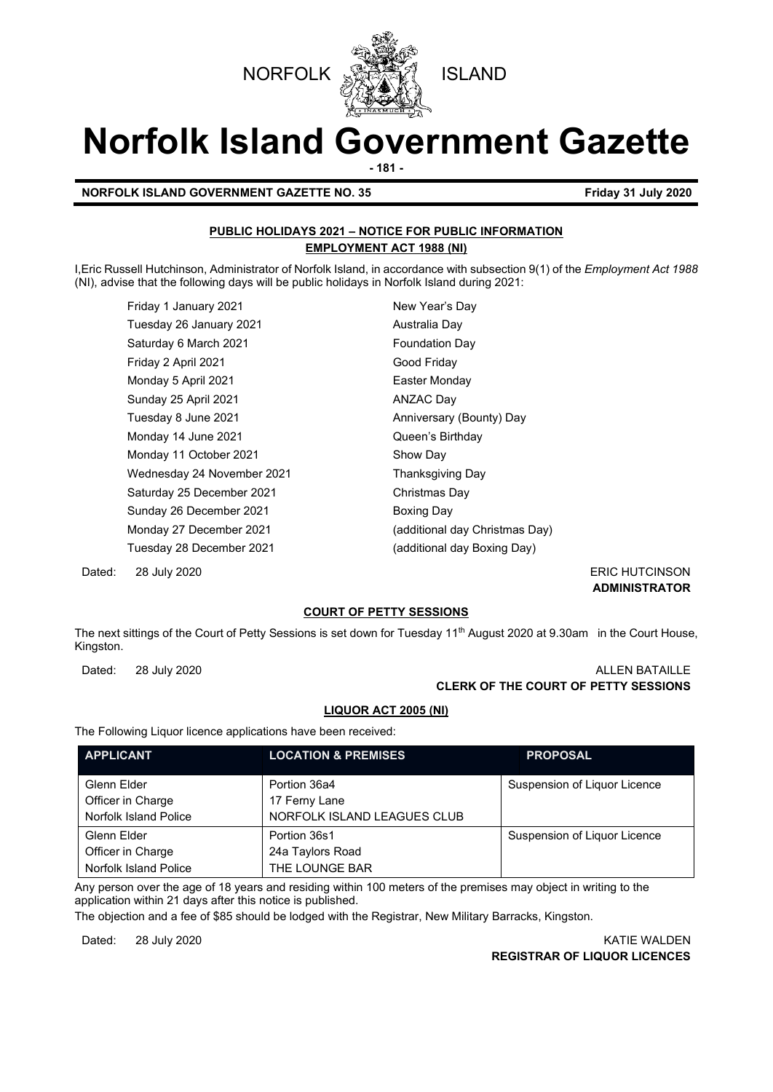



# **Norfolk Island Government Gazette**

**- 181 -**

#### **NORFOLK ISLAND GOVERNMENT GAZETTE NO. 35 Friday 31 July 2020**

#### **PUBLIC HOLIDAYS 2021 – NOTICE FOR PUBLIC INFORMATION EMPLOYMENT ACT 1988 (NI)**

I,Eric Russell Hutchinson, Administrator of Norfolk Island, in accordance with subsection 9(1) of the *Employment Act 1988* (NI), advise that the following days will be public holidays in Norfolk Island during 2021:

Friday 1 January 2021 Mew Year's Day Tuesday 26 January 2021 **Australia Day** Saturday 6 March 2021 **Foundation Day** Friday 2 April 2021 Good Friday Monday 5 April 2021 **Easter Monday** Sunday 25 April 2021 **ANZAC Day** Tuesday 8 June 2021 **Anniversary (Bounty)** Day Monday 14 June 2021 **Constanting Contract Constanting Constanting Constanting Constanting Constanting Constanting Constanting Constanting Constanting Constanting Constanting Constanting Constanting Constanting Constanting** Monday 11 October 2021 Show Day Wednesday 24 November 2021 Thanksgiving Day Saturday 25 December 2021 Christmas Day Sunday 26 December 2021 Boxing Day Tuesday 28 December 2021 (additional day Boxing Day)

Monday 27 December 2021 (additional day Christmas Day)

Dated: 28 July 2020 ERIC HUTCINSON

**ADMINISTRATOR**

#### **COURT OF PETTY SESSIONS**

The next sittings of the Court of Petty Sessions is set down for Tuesday 11<sup>th</sup> August 2020 at 9.30am in the Court House, Kingston.

#### Dated: 28 July 2020 ALLEN BATAILLE **CLERK OF THE COURT OF PETTY SESSIONS**

#### **LIQUOR ACT 2005 (NI)**

The Following Liquor licence applications have been received:

| <b>APPLICANT</b>                                          | <b>LOCATION &amp; PREMISES</b>                               | <b>PROPOSAL</b>              |
|-----------------------------------------------------------|--------------------------------------------------------------|------------------------------|
| Glenn Elder<br>Officer in Charge<br>Norfolk Island Police | Portion 36a4<br>17 Ferny Lane<br>NORFOLK ISLAND LEAGUES CLUB | Suspension of Liguor Licence |
| Glenn Elder<br>Officer in Charge<br>Norfolk Island Police | Portion 36s1<br>24a Taylors Road<br>THE LOUNGE BAR           | Suspension of Liguor Licence |

Any person over the age of 18 years and residing within 100 meters of the premises may object in writing to the application within 21 days after this notice is published.

The objection and a fee of \$85 should be lodged with the Registrar, New Military Barracks, Kingston.

Dated: 28 July 2020 KATIE WALDEN **REGISTRAR OF LIQUOR LICENCES**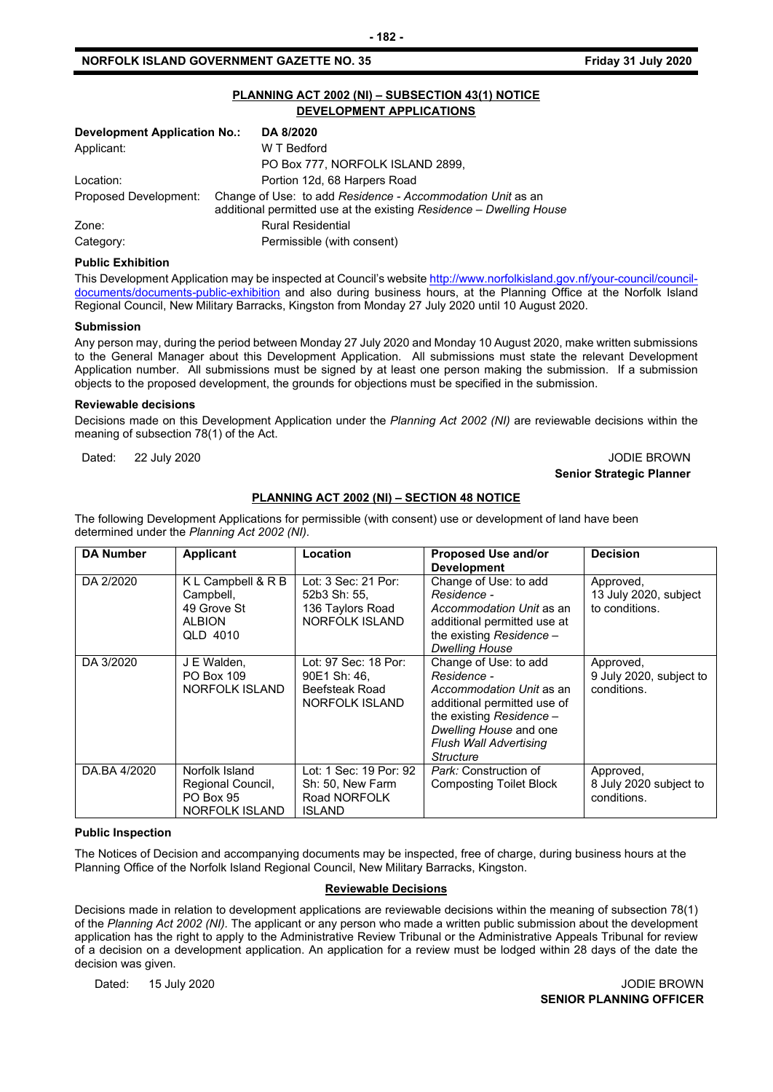#### **NORFOLK ISLAND GOVERNMENT GAZETTE NO. 35 Friday 31 July 2020**

|                                                  | PLANNING ACT 2002 (NI) - SUBSECTION 43(1) NOTICE<br>DEVELOPMENT APPLICATIONS                                                      |
|--------------------------------------------------|-----------------------------------------------------------------------------------------------------------------------------------|
| <b>Development Application No.:</b><br>DA 8/2020 |                                                                                                                                   |
| Applicant:                                       | W T Bedford                                                                                                                       |
|                                                  | PO Box 777, NORFOLK ISLAND 2899,                                                                                                  |
| Location:                                        | Portion 12d, 68 Harpers Road                                                                                                      |
| Proposed Development:                            | Change of Use: to add Residence - Accommodation Unit as an<br>additional permitted use at the existing Residence - Dwelling House |
| Zone:                                            | <b>Rural Residential</b>                                                                                                          |
| Category:                                        | Permissible (with consent)                                                                                                        |

#### **Public Exhibition**

This Development Application may be inspected at Council's websit[e http://www.norfolkisland.gov.nf/your-council/council](http://www.norfolkisland.gov.nf/your-council/council-documents/documents-public-exhibition)[documents/documents-public-exhibition](http://www.norfolkisland.gov.nf/your-council/council-documents/documents-public-exhibition) and also during business hours, at the Planning Office at the Norfolk Island Regional Council, New Military Barracks, Kingston from Monday 27 July 2020 until 10 August 2020.

#### **Submission**

Any person may, during the period between Monday 27 July 2020 and Monday 10 August 2020, make written submissions to the General Manager about this Development Application. All submissions must state the relevant Development Application number. All submissions must be signed by at least one person making the submission. If a submission objects to the proposed development, the grounds for objections must be specified in the submission.

#### **Reviewable decisions**

Decisions made on this Development Application under the *Planning Act 2002 (NI)* are reviewable decisions within the meaning of subsection 78(1) of the Act.

#### Dated: 22 July 2020 20 Dated: 22 July 2020 **Senior Strategic Planner**

#### **PLANNING ACT 2002 (NI) – SECTION 48 NOTICE**

The following Development Applications for permissible (with consent) use or development of land have been determined under the *Planning Act 2002 (NI).*

| <b>DA Number</b> | Applicant                                                                   | Location                                                                        | <b>Proposed Use and/or</b><br><b>Development</b>                                                                                                                                             | <b>Decision</b>                                      |
|------------------|-----------------------------------------------------------------------------|---------------------------------------------------------------------------------|----------------------------------------------------------------------------------------------------------------------------------------------------------------------------------------------|------------------------------------------------------|
| DA 2/2020        | K L Campbell & R B<br>Campbell,<br>49 Grove St<br><b>ALBION</b><br>QLD 4010 | Lot: 3 Sec: 21 Por:<br>52b3 Sh: 55.<br>136 Taylors Road<br>NORFOLK ISLAND       | Change of Use: to add<br>Residence -<br>Accommodation Unit as an<br>additional permitted use at<br>the existing Residence -<br><b>Dwelling House</b>                                         | Approved,<br>13 July 2020, subject<br>to conditions. |
| DA 3/2020        | J E Walden,<br>PO Box 109<br>NORFOLK ISLAND                                 | Lot: 97 Sec: 18 Por:<br>90E1 Sh: 46.<br><b>Beefsteak Road</b><br>NORFOLK ISLAND | Change of Use: to add<br>Residence -<br>Accommodation Unit as an<br>additional permitted use of<br>the existing Residence -<br>Dwelling House and one<br>Flush Wall Advertising<br>Structure | Approved,<br>9 July 2020, subject to<br>conditions.  |
| DA.BA 4/2020     | Norfolk Island<br>Regional Council,<br>PO Box 95<br>NORFOLK ISLAND          | Lot: 1 Sec: 19 Por: 92<br>Sh: 50, New Farm<br>Road NORFOLK<br><b>ISLAND</b>     | Park: Construction of<br>Composting Toilet Block                                                                                                                                             | Approved,<br>8 July 2020 subject to<br>conditions.   |

#### **Public Inspection**

The Notices of Decision and accompanying documents may be inspected, free of charge, during business hours at the Planning Office of the Norfolk Island Regional Council, New Military Barracks, Kingston.

#### **Reviewable Decisions**

Decisions made in relation to development applications are reviewable decisions within the meaning of subsection 78(1) of the *Planning Act 2002 (NI).* The applicant or any person who made a written public submission about the development application has the right to apply to the Administrative Review Tribunal or the Administrative Appeals Tribunal for review of a decision on a development application. An application for a review must be lodged within 28 days of the date the decision was given.

Dated: 15 July 2020 **John Brown 2008** Jobile BROWN **SENIOR PLANNING OFFICER**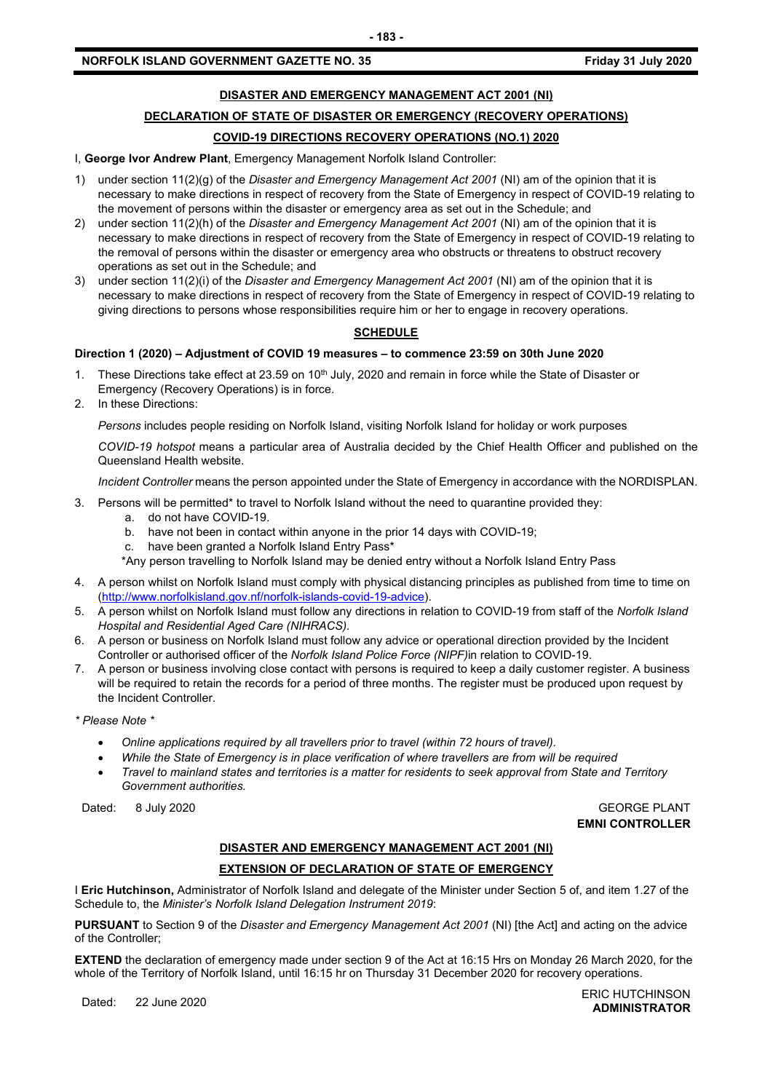#### **DISASTER AND EMERGENCY MANAGEMENT ACT 2001 (NI)**

**- 183 -**

## **DECLARATION OF STATE OF DISASTER OR EMERGENCY (RECOVERY OPERATIONS)**

#### **COVID-19 DIRECTIONS RECOVERY OPERATIONS (NO.1) 2020**

I, **George Ivor Andrew Plant**, Emergency Management Norfolk Island Controller:

- 1) under section 11(2)(g) of the *Disaster and Emergency Management Act 2001* (NI) am of the opinion that it is necessary to make directions in respect of recovery from the State of Emergency in respect of COVID-19 relating to the movement of persons within the disaster or emergency area as set out in the Schedule; and
- 2) under section 11(2)(h) of the *Disaster and Emergency Management Act 2001* (NI) am of the opinion that it is necessary to make directions in respect of recovery from the State of Emergency in respect of COVID-19 relating to the removal of persons within the disaster or emergency area who obstructs or threatens to obstruct recovery operations as set out in the Schedule; and
- 3) under section 11(2)(i) of the *Disaster and Emergency Management Act 2001* (NI) am of the opinion that it is necessary to make directions in respect of recovery from the State of Emergency in respect of COVID-19 relating to giving directions to persons whose responsibilities require him or her to engage in recovery operations.

#### **SCHEDULE**

#### **Direction 1 (2020) – Adjustment of COVID 19 measures – to commence 23:59 on 30th June 2020**

- 1. These Directions take effect at 23.59 on 10<sup>th</sup> July, 2020 and remain in force while the State of Disaster or Emergency (Recovery Operations) is in force.
- 2. In these Directions:

*Persons* includes people residing on Norfolk Island, visiting Norfolk Island for holiday or work purposes

*COVID-19 hotspot* means a particular area of Australia decided by the Chief Health Officer and published on the Queensland Health website.

*Incident Controller* means the person appointed under the State of Emergency in accordance with the NORDISPLAN.

- 3. Persons will be permitted\* to travel to Norfolk Island without the need to quarantine provided they:
	- a. do not have COVID-19.
	- b. have not been in contact within anyone in the prior 14 days with COVID-19;
	- c. have been granted a Norfolk Island Entry Pass\*
	- \*Any person travelling to Norfolk Island may be denied entry without a Norfolk Island Entry Pass
- 4. A person whilst on Norfolk Island must comply with physical distancing principles as published from time to time on [\(http://www.norfolkisland.gov.nf/norfolk-islands-covid-19-advice\)](http://www.norfolkisland.gov.nf/norfolk-islands-covid-19-advice).
- 5. A person whilst on Norfolk Island must follow any directions in relation to COVID-19 from staff of the *Norfolk Island Hospital and Residential Aged Care (NIHRACS).*
- 6. A person or business on Norfolk Island must follow any advice or operational direction provided by the Incident Controller or authorised officer of the *Norfolk Island Police Force (NIPF)*in relation to COVID-19.
- 7. A person or business involving close contact with persons is required to keep a daily customer register. A business will be required to retain the records for a period of three months. The register must be produced upon request by the Incident Controller.

*\* Please Note \** 

- *Online applications required by all travellers prior to travel (within 72 hours of travel).*
- *While the State of Emergency is in place verification of where travellers are from will be required*
- *Travel to mainland states and territories is a matter for residents to seek approval from State and Territory Government authorities.*

Dated: 8 July 2020 GEORGE PLANT

**EMNI CONTROLLER**

### **DISASTER AND EMERGENCY MANAGEMENT ACT 2001 (NI)**

#### **EXTENSION OF DECLARATION OF STATE OF EMERGENCY**

I **Eric Hutchinson,** Administrator of Norfolk Island and delegate of the Minister under Section 5 of, and item 1.27 of the Schedule to, the *Minister's Norfolk Island Delegation Instrument 2019*:

**PURSUANT** to Section 9 of the *Disaster and Emergency Management Act 2001* (NI) [the Act] and acting on the advice of the Controller;

**EXTEND** the declaration of emergency made under section 9 of the Act at 16:15 Hrs on Monday 26 March 2020, for the whole of the Territory of Norfolk Island, until 16:15 hr on Thursday 31 December 2020 for recovery operations.

Dated: 22 June 2020<br>Dated: 22 June 2020 **ADMINISTRATOR**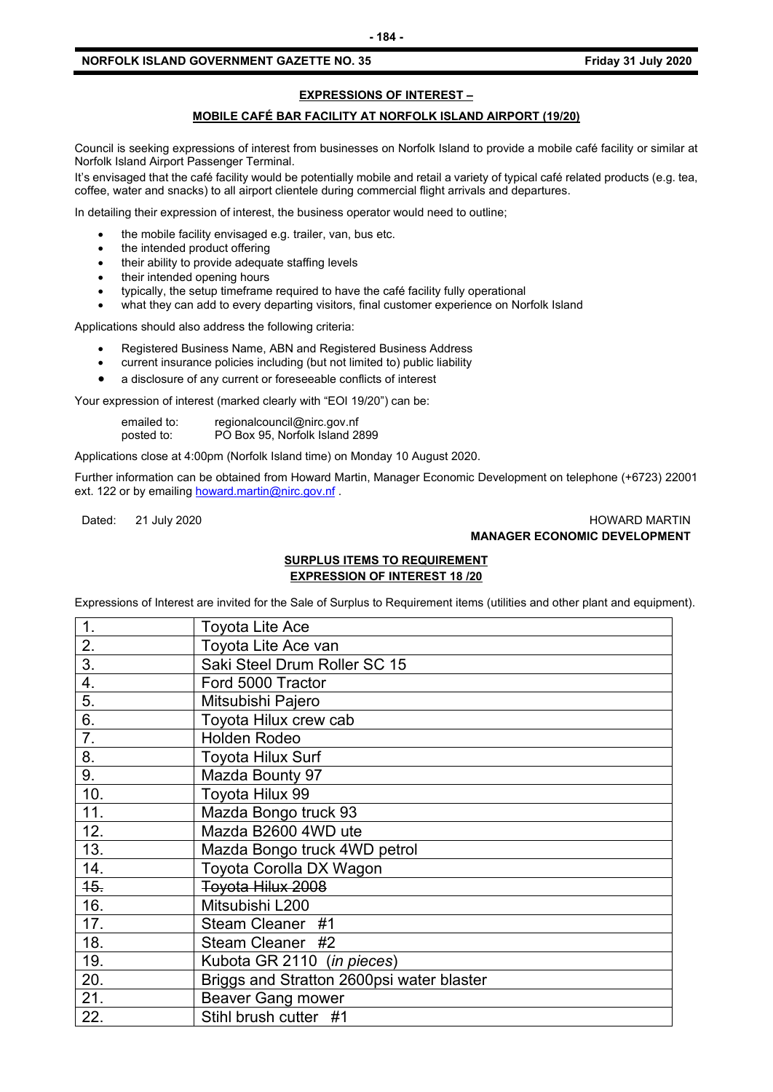#### **NORFOLK ISLAND GOVERNMENT GAZETTE NO. 35 Friday 31 July 2020**

#### **EXPRESSIONS OF INTEREST –**

#### **MOBILE CAFÉ BAR FACILITY AT NORFOLK ISLAND AIRPORT (19/20)**

Council is seeking expressions of interest from businesses on Norfolk Island to provide a mobile café facility or similar at Norfolk Island Airport Passenger Terminal.

It's envisaged that the café facility would be potentially mobile and retail a variety of typical café related products (e.g. tea, coffee, water and snacks) to all airport clientele during commercial flight arrivals and departures.

In detailing their expression of interest, the business operator would need to outline;

- the mobile facility envisaged e.g. trailer, van, bus etc.
- the intended product offering
- their ability to provide adequate staffing levels
- their intended opening hours
- typically, the setup timeframe required to have the café facility fully operational
- what they can add to every departing visitors, final customer experience on Norfolk Island

Applications should also address the following criteria:

- Registered Business Name, ABN and Registered Business Address
- current insurance policies including (but not limited to) public liability
- a disclosure of any current or foreseeable conflicts of interest

Your expression of interest (marked clearly with "EOI 19/20") can be:

| emailed to: | regionalcouncil@nirc.gov.nf    |
|-------------|--------------------------------|
| posted to:  | PO Box 95, Norfolk Island 2899 |

Applications close at 4:00pm (Norfolk Island time) on Monday 10 August 2020.

Further information can be obtained from Howard Martin, Manager Economic Development on telephone (+6723) 22001 ext. 122 or by emailin[g howard.martin@nirc.gov.nf](mailto:howard.martin@nirc.gov.nf).

#### Dated: 21 July 2020 HOWARD MARTIN **MANAGER ECONOMIC DEVELOPMENT**

#### **SURPLUS ITEMS TO REQUIREMENT EXPRESSION OF INTEREST 18 /20**

Expressions of Interest are invited for the Sale of Surplus to Requirement items (utilities and other plant and equipment).

| 1.               | Toyota Lite Ace                           |
|------------------|-------------------------------------------|
| 2.               | Toyota Lite Ace van                       |
| $\overline{3}$ . | Saki Steel Drum Roller SC 15              |
| 4.               | Ford 5000 Tractor                         |
| 5.               | Mitsubishi Pajero                         |
| 6.               | Toyota Hilux crew cab                     |
| 7.               | <b>Holden Rodeo</b>                       |
| 8.               | <b>Toyota Hilux Surf</b>                  |
| 9.               | Mazda Bounty 97                           |
| 10.              | Toyota Hilux 99                           |
| 11.              | Mazda Bongo truck 93                      |
| 12.              | Mazda B2600 4WD ute                       |
| 13.              | Mazda Bongo truck 4WD petrol              |
| 14.              | Toyota Corolla DX Wagon                   |
| 45.              | Toyota Hilux 2008                         |
| 16.              | Mitsubishi L200                           |
| 17.              | Steam Cleaner #1                          |
| 18.              | Steam Cleaner #2                          |
| 19.              | Kubota GR 2110 (in pieces)                |
| 20.              | Briggs and Stratton 2600psi water blaster |
| 21.              | <b>Beaver Gang mower</b>                  |
| 22.              | Stihl brush cutter #1                     |